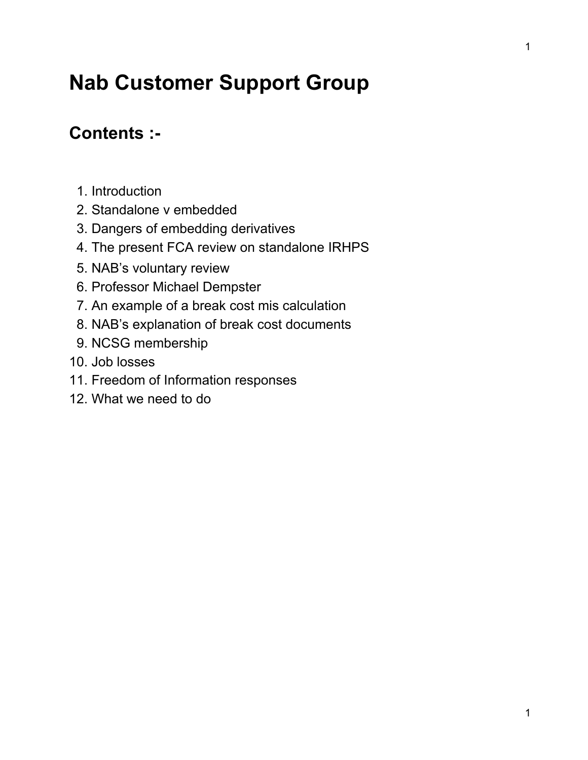# **Nab Customer Support Group**

## **Contents :**

- 1. Introduction
- 2. Standalone v embedded
- 3. Dangers of embedding derivatives
- 4. The present FCA review on standalone IRHPS
- 5. NAB's voluntary review
- 6. Professor Michael Dempster
- 7. An example of a break cost mis calculation
- 8. NAB's explanation of break cost documents
- 9. NCSG membership
- 10. Job losses
- 11. Freedom of Information responses
- 12. What we need to do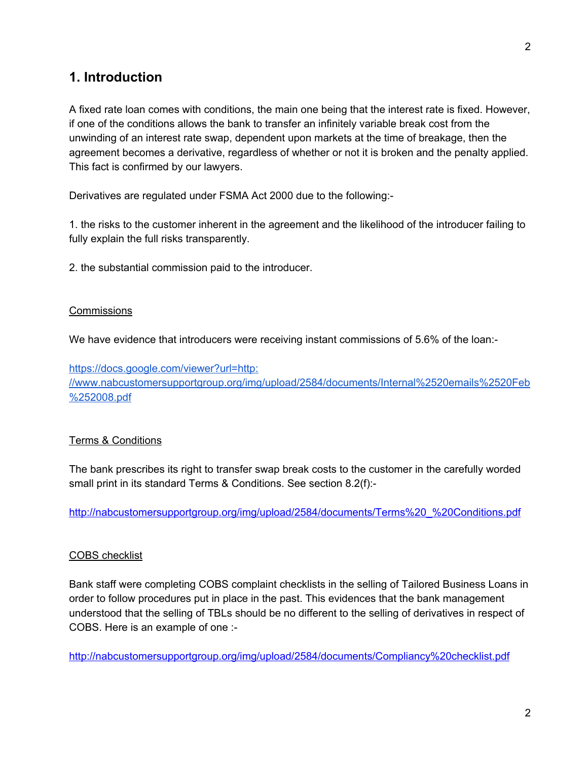#### **1. Introduction**

A fixed rate loan comes with conditions, the main one being that the interest rate is fixed. However, if one of the conditions allows the bank to transfer an infinitely variable break cost from the unwinding of an interest rate swap, dependent upon markets at the time of breakage, then the agreement becomes a derivative, regardless of whether or not it is broken and the penalty applied. This fact is confirmed by our lawyers.

Derivatives are regulated under FSMA Act 2000 due to the following:

1. the risks to the customer inherent in the agreement and the likelihood of the introducer failing to fully explain the full risks transparently.

2. the substantial commission paid to the introducer.

#### **Commissions**

We have evidence that introducers were receiving instant commissions of 5.6% of the loan:-

[https://docs.google.com/viewer?url=http:](https://docs.google.com/viewer?url=http://www.nabcustomersupportgroup.org/img/upload/2584/documents/Internal%2520emails%2520Feb%252008.pdf) [//www.nabcustomersupportgroup.org/img/upload/2584/documents/Internal%2520emails%2520Feb](https://docs.google.com/viewer?url=http://www.nabcustomersupportgroup.org/img/upload/2584/documents/Internal%2520emails%2520Feb%252008.pdf) [%252008.pdf](https://docs.google.com/viewer?url=http://www.nabcustomersupportgroup.org/img/upload/2584/documents/Internal%2520emails%2520Feb%252008.pdf)

#### Terms & Conditions

The bank prescribes its right to transfer swap break costs to the customer in the carefully worded small print in its standard Terms & Conditions. See section 8.2(f):

[http://nabcustomersupportgroup.org/img/upload/2584/documents/Terms%20\\_%20Conditions.pdf](http://nabcustomersupportgroup.org/img/upload/2584/documents/Terms%20_%20Conditions.pdf)

#### COBS checklist

Bank staff were completing COBS complaint checklists in the selling of Tailored Business Loans in order to follow procedures put in place in the past. This evidences that the bank management understood that the selling of TBLs should be no different to the selling of derivatives in respect of COBS. Here is an example of one :

<http://nabcustomersupportgroup.org/img/upload/2584/documents/Compliancy%20checklist.pdf>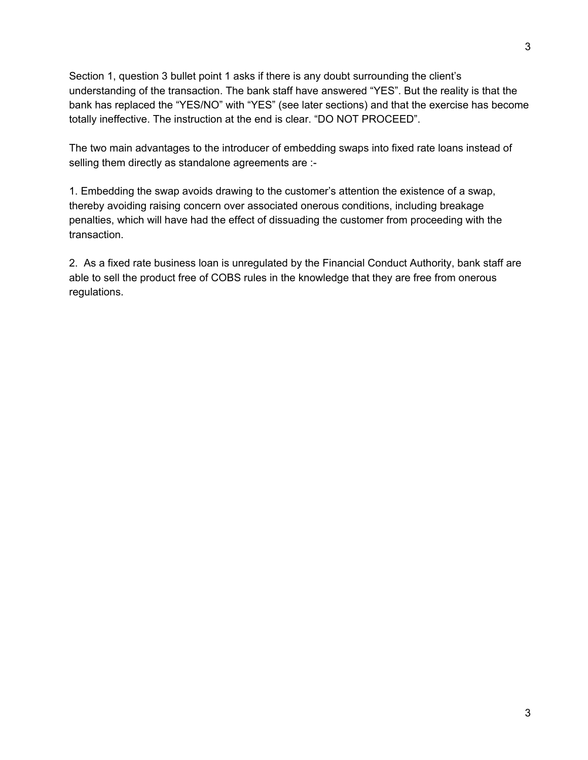Section 1, question 3 bullet point 1 asks if there is any doubt surrounding the client's understanding of the transaction. The bank staff have answered "YES". But the reality is that the bank has replaced the "YES/NO" with "YES" (see later sections) and that the exercise has become totally ineffective. The instruction at the end is clear. "DO NOT PROCEED".

The two main advantages to the introducer of embedding swaps into fixed rate loans instead of selling them directly as standalone agreements are :-

1. Embedding the swap avoids drawing to the customer's attention the existence of a swap, thereby avoiding raising concern over associated onerous conditions, including breakage penalties, which will have had the effect of dissuading the customer from proceeding with the transaction.

2. As a fixed rate business loan is unregulated by the Financial Conduct Authority, bank staff are able to sell the product free of COBS rules in the knowledge that they are free from onerous regulations.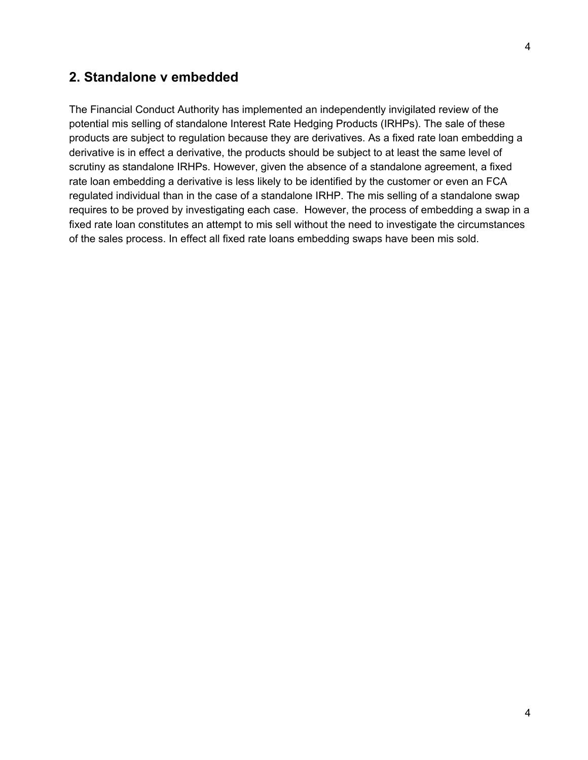4

#### **2. Standalone v embedded**

The Financial Conduct Authority has implemented an independently invigilated review of the potential mis selling of standalone Interest Rate Hedging Products (IRHPs). The sale of these products are subject to regulation because they are derivatives. As a fixed rate loan embedding a derivative is in effect a derivative, the products should be subject to at least the same level of scrutiny as standalone IRHPs. However, given the absence of a standalone agreement, a fixed rate loan embedding a derivative is less likely to be identified by the customer or even an FCA regulated individual than in the case of a standalone IRHP. The mis selling of a standalone swap requires to be proved by investigating each case. However, the process of embedding a swap in a fixed rate loan constitutes an attempt to mis sell without the need to investigate the circumstances of the sales process. In effect all fixed rate loans embedding swaps have been mis sold.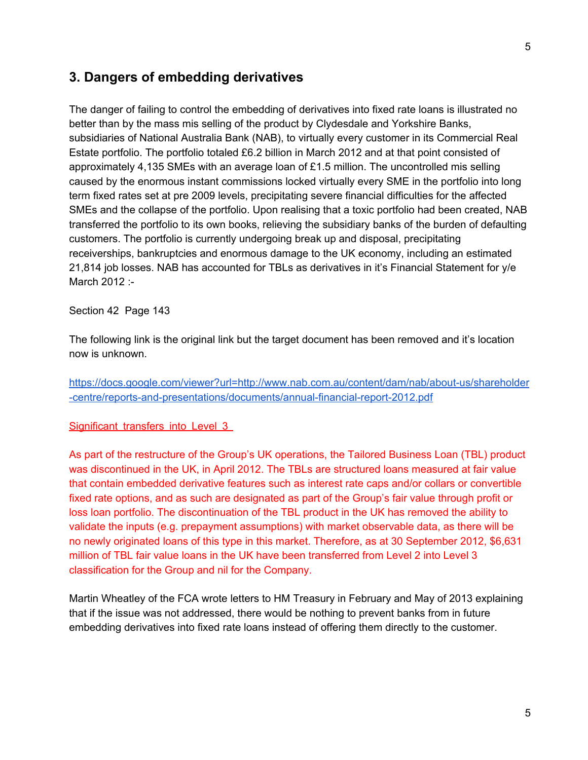#### **3. Dangers of embedding derivatives**

The danger of failing to control the embedding of derivatives into fixed rate loans is illustrated no better than by the mass mis selling of the product by Clydesdale and Yorkshire Banks, subsidiaries of National Australia Bank (NAB), to virtually every customer in its Commercial Real Estate portfolio. The portfolio totaled £6.2 billion in March 2012 and at that point consisted of approximately 4,135 SMEs with an average loan of £1.5 million. The uncontrolled mis selling caused by the enormous instant commissions locked virtually every SME in the portfolio into long term fixed rates set at pre 2009 levels, precipitating severe financial difficulties for the affected SMEs and the collapse of the portfolio. Upon realising that a toxic portfolio had been created, NAB transferred the portfolio to its own books, relieving the subsidiary banks of the burden of defaulting customers. The portfolio is currently undergoing break up and disposal, precipitating receiverships, bankruptcies and enormous damage to the UK economy, including an estimated 21,814 job losses. NAB has accounted for TBLs as derivatives in it's Financial Statement for y/e March 2012 :-

Section 42 Page 143

The following link is the original link but the target document has been removed and it's location now is unknown.

https://docs.google.com/viewer?url=http://www.nab.com.au/content/dam/nab/about-us/shareholder -centre/reports-and-presentations/documents/annual-financial-report-2012.pdf

Significant transfers into Level 3

As part of the restructure of the Group's UK operations, the Tailored Business Loan (TBL) product was discontinued in the UK, in April 2012. The TBLs are structured loans measured at fair value that contain embedded derivative features such as interest rate caps and/or collars or convertible fixed rate options, and as such are designated as part of the Group's fair value through profit or loss loan portfolio. The discontinuation of the TBL product in the UK has removed the ability to validate the inputs (e.g. prepayment assumptions) with market observable data, as there will be no newly originated loans of this type in this market. Therefore, as at 30 September 2012, \$6,631 million of TBL fair value loans in the UK have been transferred from Level 2 into Level 3 classification for the Group and nil for the Company.

Martin Wheatley of the FCA wrote letters to HM Treasury in February and May of 2013 explaining that if the issue was not addressed, there would be nothing to prevent banks from in future embedding derivatives into fixed rate loans instead of offering them directly to the customer.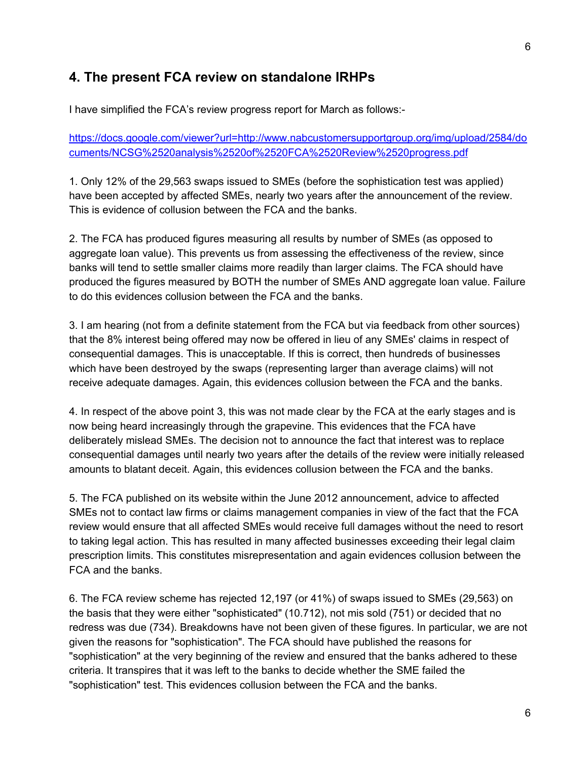#### **4. The present FCA review on standalone IRHPs**

I have simplified the FCA's review progress report for March as follows:

[https://docs.google.com/viewer?url=http://www.nabcustomersupportgroup.org/img/upload/2584/do](https://docs.google.com/viewer?url=http://www.nabcustomersupportgroup.org/img/upload/2584/documents/NCSG%2520analysis%2520of%2520FCA%2520Review%2520progress.pdf) [cuments/NCSG%2520analysis%2520of%2520FCA%2520Review%2520progress.pdf](https://docs.google.com/viewer?url=http://www.nabcustomersupportgroup.org/img/upload/2584/documents/NCSG%2520analysis%2520of%2520FCA%2520Review%2520progress.pdf)

1. Only 12% of the 29,563 swaps issued to SMEs (before the sophistication test was applied) have been accepted by affected SMEs, nearly two years after the announcement of the review. This is evidence of collusion between the FCA and the banks.

2. The FCA has produced figures measuring all results by number of SMEs (as opposed to aggregate loan value). This prevents us from assessing the effectiveness of the review, since banks will tend to settle smaller claims more readily than larger claims. The FCA should have produced the figures measured by BOTH the number of SMEs AND aggregate loan value. Failure to do this evidences collusion between the FCA and the banks.

3. I am hearing (not from a definite statement from the FCA but via feedback from other sources) that the 8% interest being offered may now be offered in lieu of any SMEs' claims in respect of consequential damages. This is unacceptable. If this is correct, then hundreds of businesses which have been destroyed by the swaps (representing larger than average claims) will not receive adequate damages. Again, this evidences collusion between the FCA and the banks.

4. In respect of the above point 3, this was not made clear by the FCA at the early stages and is now being heard increasingly through the grapevine. This evidences that the FCA have deliberately mislead SMEs. The decision not to announce the fact that interest was to replace consequential damages until nearly two years after the details of the review were initially released amounts to blatant deceit. Again, this evidences collusion between the FCA and the banks.

5. The FCA published on its website within the June 2012 announcement, advice to affected SMEs not to contact law firms or claims management companies in view of the fact that the FCA review would ensure that all affected SMEs would receive full damages without the need to resort to taking legal action. This has resulted in many affected businesses exceeding their legal claim prescription limits. This constitutes misrepresentation and again evidences collusion between the FCA and the banks.

6. The FCA review scheme has rejected 12,197 (or 41%) of swaps issued to SMEs (29,563) on the basis that they were either "sophisticated" (10.712), not mis sold (751) or decided that no redress was due (734). Breakdowns have not been given of these figures. In particular, we are not given the reasons for "sophistication". The FCA should have published the reasons for "sophistication" at the very beginning of the review and ensured that the banks adhered to these criteria. It transpires that it was left to the banks to decide whether the SME failed the "sophistication" test. This evidences collusion between the FCA and the banks.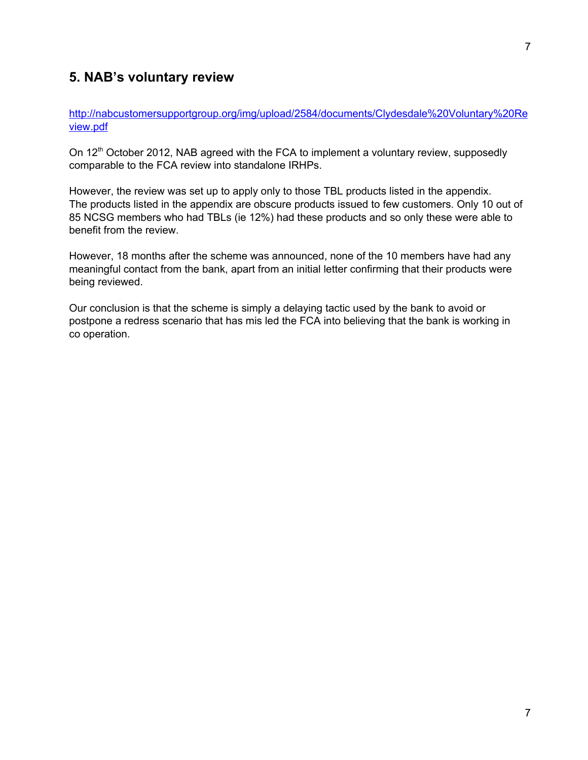#### **5. NAB's voluntary review**

[http://nabcustomersupportgroup.org/img/upload/2584/documents/Clydesdale%20Voluntary%20Re](http://nabcustomersupportgroup.org/img/upload/2584/documents/Clydesdale%20Voluntary%20Review.pdf) [view.pdf](http://nabcustomersupportgroup.org/img/upload/2584/documents/Clydesdale%20Voluntary%20Review.pdf)

On 12<sup>th</sup> October 2012, NAB agreed with the FCA to implement a voluntary review, supposedly comparable to the FCA review into standalone IRHPs.

However, the review was set up to apply only to those TBL products listed in the appendix. The products listed in the appendix are obscure products issued to few customers. Only 10 out of 85 NCSG members who had TBLs (ie 12%) had these products and so only these were able to benefit from the review.

However, 18 months after the scheme was announced, none of the 10 members have had any meaningful contact from the bank, apart from an initial letter confirming that their products were being reviewed.

Our conclusion is that the scheme is simply a delaying tactic used by the bank to avoid or postpone a redress scenario that has mis led the FCA into believing that the bank is working in co operation.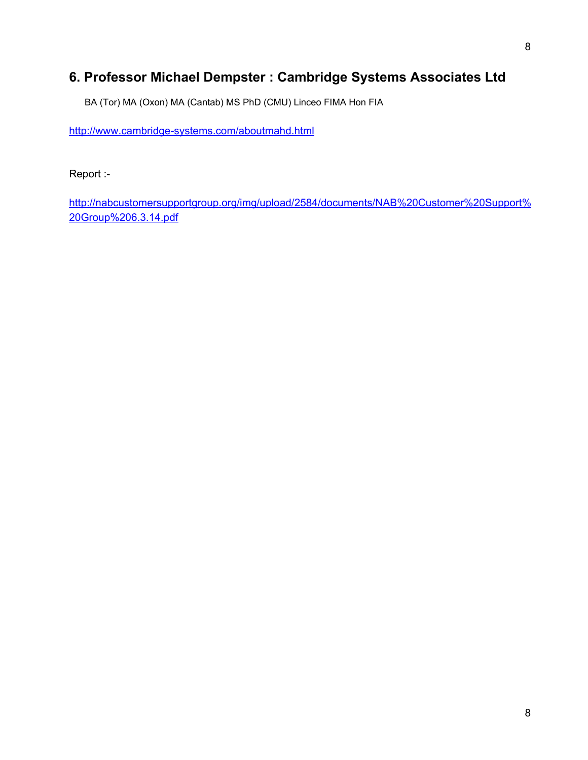## **6. Professor Michael Dempster : Cambridge Systems Associates Ltd**

BA (Tor) MA (Oxon) MA (Cantab) MS PhD (CMU) Linceo FIMA Hon FIA

http://www.cambridge-systems.com/aboutmahd.html

Report :

[http://nabcustomersupportgroup.org/img/upload/2584/documents/NAB%20Customer%20Support%](http://nabcustomersupportgroup.org/img/upload/2584/documents/NAB%20Customer%20Support%20Group%206.3.14.pdf) [20Group%206.3.14.pdf](http://nabcustomersupportgroup.org/img/upload/2584/documents/NAB%20Customer%20Support%20Group%206.3.14.pdf)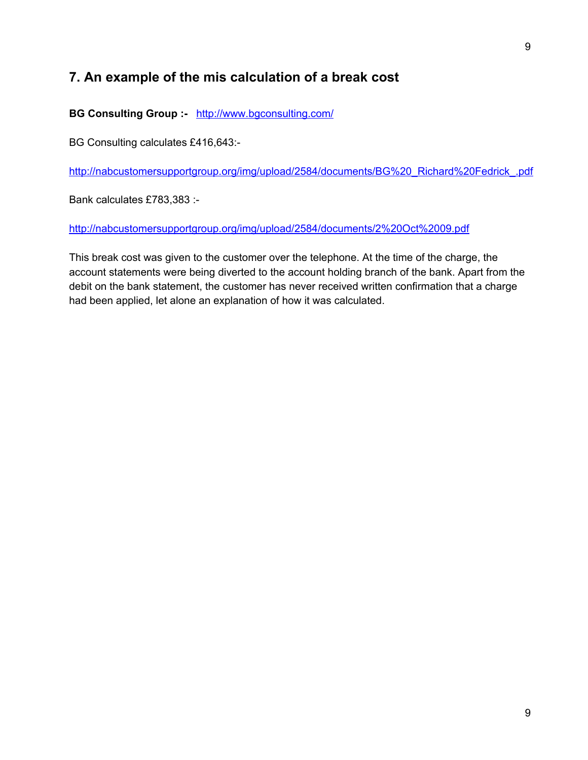## **7. An example of the mis calculation of a break cost**

**BG Consulting Group :** <http://www.bgconsulting.com/>

BG Consulting calculates £416,643:

[http://nabcustomersupportgroup.org/img/upload/2584/documents/BG%20\\_Richard%20Fedrick\\_.pdf](http://nabcustomersupportgroup.org/img/upload/2584/documents/BG%20_Richard%20Fedrick_.pdf)

Bank calculates £783,383 :

<http://nabcustomersupportgroup.org/img/upload/2584/documents/2%20Oct%2009.pdf>

This break cost was given to the customer over the telephone. At the time of the charge, the account statements were being diverted to the account holding branch of the bank. Apart from the debit on the bank statement, the customer has never received written confirmation that a charge had been applied, let alone an explanation of how it was calculated.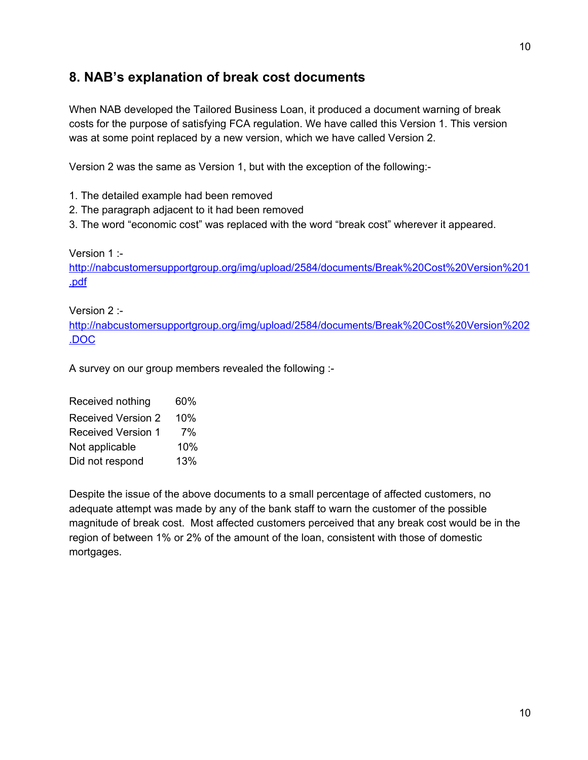## **8. NAB's explanation of break cost documents**

When NAB developed the Tailored Business Loan, it produced a document warning of break costs for the purpose of satisfying FCA regulation. We have called this Version 1. This version was at some point replaced by a new version, which we have called Version 2.

Version 2 was the same as Version 1, but with the exception of the following:

1. The detailed example had been removed

- 2. The paragraph adjacent to it had been removed
- 3. The word "economic cost" was replaced with the word "break cost" wherever it appeared.

Version 1 :

[http://nabcustomersupportgroup.org/img/upload/2584/documents/Break%20Cost%20Version%201](http://nabcustomersupportgroup.org/img/upload/2584/documents/Break%20Cost%20Version%201.pdf) [.pdf](http://nabcustomersupportgroup.org/img/upload/2584/documents/Break%20Cost%20Version%201.pdf)

Version 2 :

[http://nabcustomersupportgroup.org/img/upload/2584/documents/Break%20Cost%20Version%202](http://nabcustomersupportgroup.org/img/upload/2584/documents/Break%20Cost%20Version%202.DOC) [.DOC](http://nabcustomersupportgroup.org/img/upload/2584/documents/Break%20Cost%20Version%202.DOC)

A survey on our group members revealed the following :

Received nothing 60% Received Version 2 10% Received Version 1 7% Not applicable 10% Did not respond 13%

Despite the issue of the above documents to a small percentage of affected customers, no adequate attempt was made by any of the bank staff to warn the customer of the possible magnitude of break cost. Most affected customers perceived that any break cost would be in the region of between 1% or 2% of the amount of the loan, consistent with those of domestic mortgages.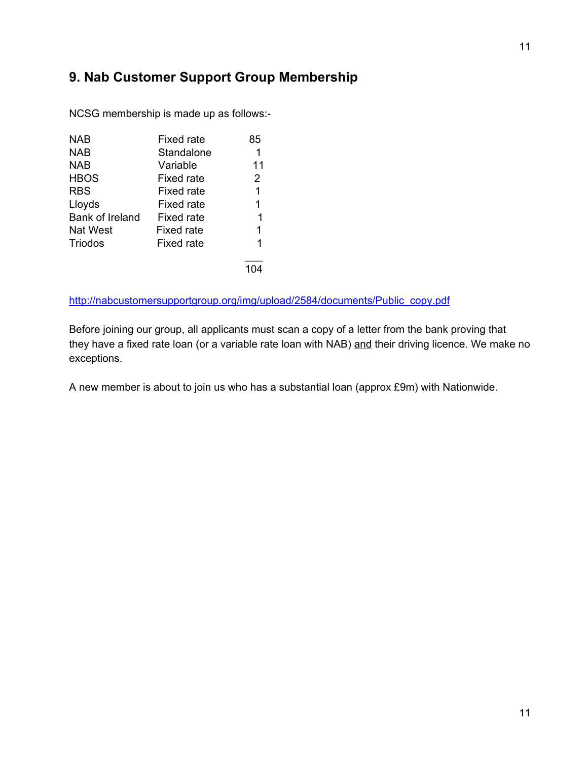## **9. Nab Customer Support Group Membership**

| <b>NAB</b>      | Fixed rate        | 85 |
|-----------------|-------------------|----|
| <b>NAB</b>      | Standalone        | 1  |
| <b>NAB</b>      | Variable          | 11 |
| <b>HBOS</b>     | Fixed rate        | 2  |
| <b>RBS</b>      | Fixed rate        | 1  |
| Lloyds          | Fixed rate        | 1  |
| Bank of Ireland | <b>Fixed rate</b> | 1  |
| Nat West        | Fixed rate        | 1  |
| <b>Triodos</b>  | <b>Fixed rate</b> | 1  |
|                 |                   |    |

NCSG membership is made up as follows:

[http://nabcustomersupportgroup.org/img/upload/2584/documents/Public\\_copy.pdf](http://nabcustomersupportgroup.org/img/upload/2584/documents/Public_copy.pdf)

Before joining our group, all applicants must scan a copy of a letter from the bank proving that they have a fixed rate loan (or a variable rate loan with NAB) and their driving licence. We make no exceptions.

A new member is about to join us who has a substantial loan (approx £9m) with Nationwide.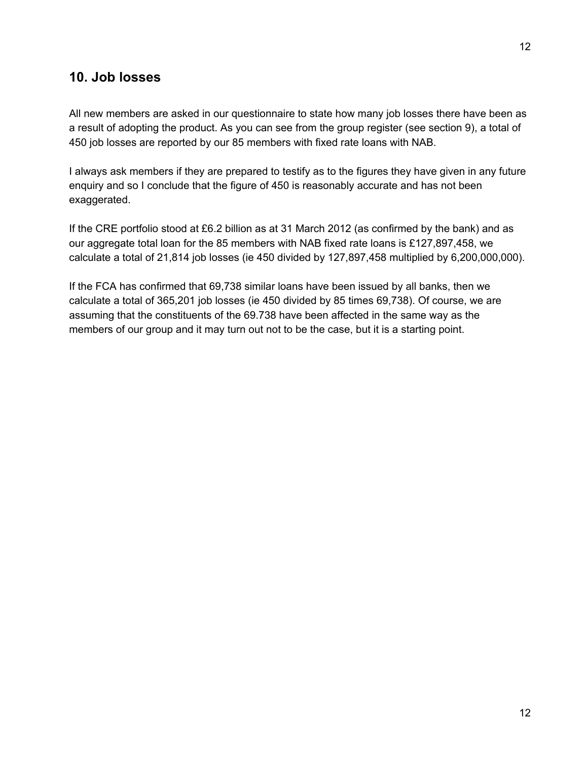#### **10. Job losses**

All new members are asked in our questionnaire to state how many job losses there have been as a result of adopting the product. As you can see from the group register (see section 9), a total of 450 job losses are reported by our 85 members with fixed rate loans with NAB.

I always ask members if they are prepared to testify as to the figures they have given in any future enquiry and so I conclude that the figure of 450 is reasonably accurate and has not been exaggerated.

If the CRE portfolio stood at £6.2 billion as at 31 March 2012 (as confirmed by the bank) and as our aggregate total loan for the 85 members with NAB fixed rate loans is £127,897,458, we calculate a total of 21,814 job losses (ie 450 divided by 127,897,458 multiplied by 6,200,000,000).

If the FCA has confirmed that 69,738 similar loans have been issued by all banks, then we calculate a total of 365,201 job losses (ie 450 divided by 85 times 69,738). Of course, we are assuming that the constituents of the 69.738 have been affected in the same way as the members of our group and it may turn out not to be the case, but it is a starting point.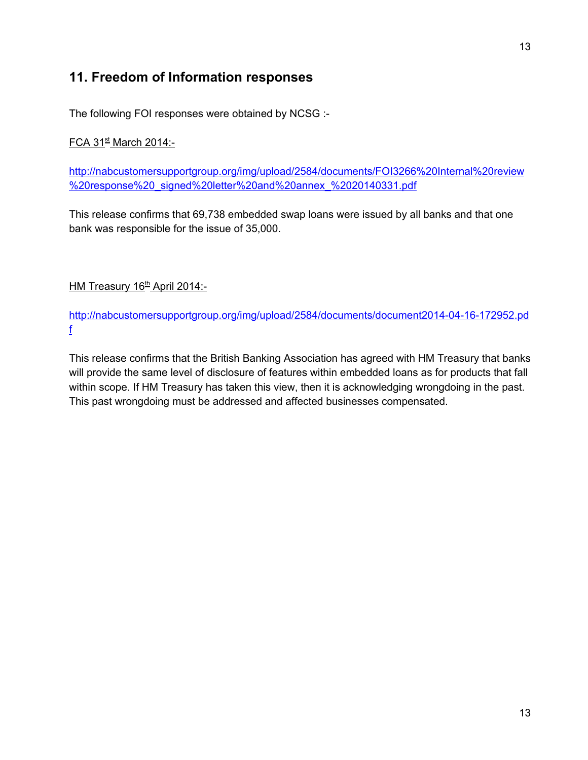## **11. Freedom of Information responses**

The following FOI responses were obtained by NCSG :

#### <u>FCA 31<sup>st</sup> March 2014:-</u>

[http://nabcustomersupportgroup.org/img/upload/2584/documents/FOI3266%20Internal%20review](http://nabcustomersupportgroup.org/img/upload/2584/documents/FOI3266%20Internal%20review%20response%20_signed%20letter%20and%20annex_%2020140331.pdf) [%20response%20\\_signed%20letter%20and%20annex\\_%2020140331.pdf](http://nabcustomersupportgroup.org/img/upload/2584/documents/FOI3266%20Internal%20review%20response%20_signed%20letter%20and%20annex_%2020140331.pdf)

This release confirms that 69,738 embedded swap loans were issued by all banks and that one bank was responsible for the issue of 35,000.

<u>HM Treasury 16<sup>th</sup> April 2014:-</u>

http://nabcustomersupportgroup.org/img/upload/2584/documents/document2014-04-16-172952.pd [f](http://nabcustomersupportgroup.org/img/upload/2584/documents/document2014-04-16-172952.pdf)

This release confirms that the British Banking Association has agreed with HM Treasury that banks will provide the same level of disclosure of features within embedded loans as for products that fall within scope. If HM Treasury has taken this view, then it is acknowledging wrongdoing in the past. This past wrongdoing must be addressed and affected businesses compensated.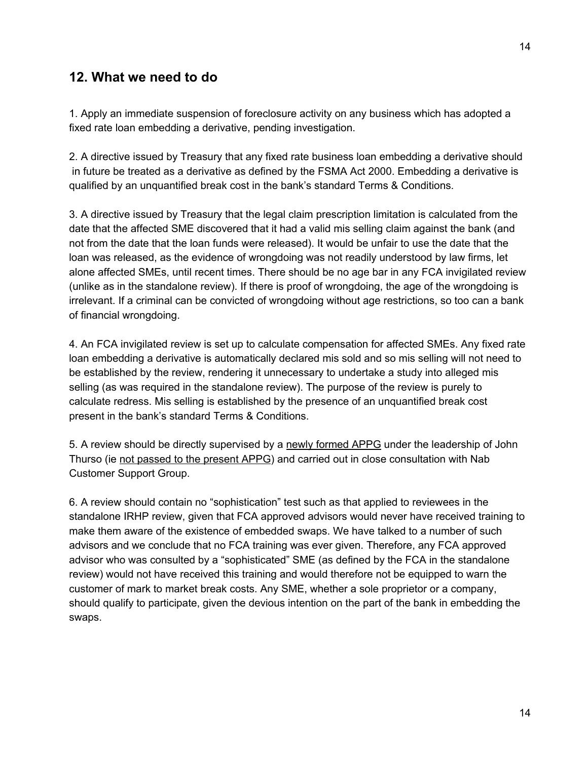#### **12. What we need to do**

1. Apply an immediate suspension of foreclosure activity on any business which has adopted a fixed rate loan embedding a derivative, pending investigation.

2. A directive issued by Treasury that any fixed rate business loan embedding a derivative should in future be treated as a derivative as defined by the FSMA Act 2000. Embedding a derivative is qualified by an unquantified break cost in the bank's standard Terms & Conditions.

3. A directive issued by Treasury that the legal claim prescription limitation is calculated from the date that the affected SME discovered that it had a valid mis selling claim against the bank (and not from the date that the loan funds were released). It would be unfair to use the date that the loan was released, as the evidence of wrongdoing was not readily understood by law firms, let alone affected SMEs, until recent times. There should be no age bar in any FCA invigilated review (unlike as in the standalone review). If there is proof of wrongdoing, the age of the wrongdoing is irrelevant. If a criminal can be convicted of wrongdoing without age restrictions, so too can a bank of financial wrongdoing.

4. An FCA invigilated review is set up to calculate compensation for affected SMEs. Any fixed rate loan embedding a derivative is automatically declared mis sold and so mis selling will not need to be established by the review, rendering it unnecessary to undertake a study into alleged mis selling (as was required in the standalone review). The purpose of the review is purely to calculate redress. Mis selling is established by the presence of an unquantified break cost present in the bank's standard Terms & Conditions.

5. A review should be directly supervised by a newly formed APPG under the leadership of John Thurso (ie not passed to the present APPG) and carried out in close consultation with Nab Customer Support Group.

6. A review should contain no "sophistication" test such as that applied to reviewees in the standalone IRHP review, given that FCA approved advisors would never have received training to make them aware of the existence of embedded swaps. We have talked to a number of such advisors and we conclude that no FCA training was ever given. Therefore, any FCA approved advisor who was consulted by a "sophisticated" SME (as defined by the FCA in the standalone review) would not have received this training and would therefore not be equipped to warn the customer of mark to market break costs. Any SME, whether a sole proprietor or a company, should qualify to participate, given the devious intention on the part of the bank in embedding the swaps.